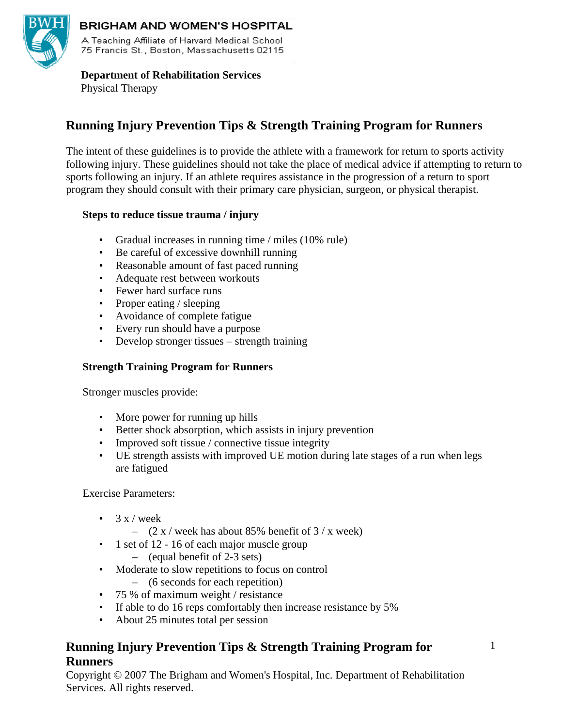

# **BRIGHAM AND WOMEN'S HOSPITAL**

A Teaching Affiliate of Harvard Medical School 75 Francis St., Boston, Massachusetts 02115

 **Department of Rehabilitation Services**  Physical Therapy

# **Running Injury Prevention Tips & Strength Training Program for Runners**

The intent of these guidelines is to provide the athlete with a framework for return to sports activity following injury. These guidelines should not take the place of medical advice if attempting to return to sports following an injury. If an athlete requires assistance in the progression of a return to sport program they should consult with their primary care physician, surgeon, or physical therapist.

## **Steps to reduce tissue trauma / injury**

- Gradual increases in running time / miles (10% rule)
- Be careful of excessive downhill running
- Reasonable amount of fast paced running
- Adequate rest between workouts
- Fewer hard surface runs
- Proper eating / sleeping
- Avoidance of complete fatigue
- Every run should have a purpose
- Develop stronger tissues strength training

# **Strength Training Program for Runners**

Stronger muscles provide:

- More power for running up hills
- Better shock absorption, which assists in injury prevention
- Improved soft tissue / connective tissue integrity
- UE strength assists with improved UE motion during late stages of a run when legs are fatigued

Exercise Parameters:

- $3 \times /$  week
	- $(2 x /$  week has about 85% benefit of  $3 / x$  week)
- 1 set of 12 16 of each major muscle group
	- (equal benefit of 2-3 sets)
- Moderate to slow repetitions to focus on control
	- (6 seconds for each repetition)
- 75 % of maximum weight / resistance
- If able to do 16 reps comfortably then increase resistance by 5%
- About 25 minutes total per session

# **Running Injury Prevention Tips & Strength Training Program for Runners**

Copyright © 2007 The Brigham and Women's Hospital, Inc. Department of Rehabilitation Services. All rights reserved.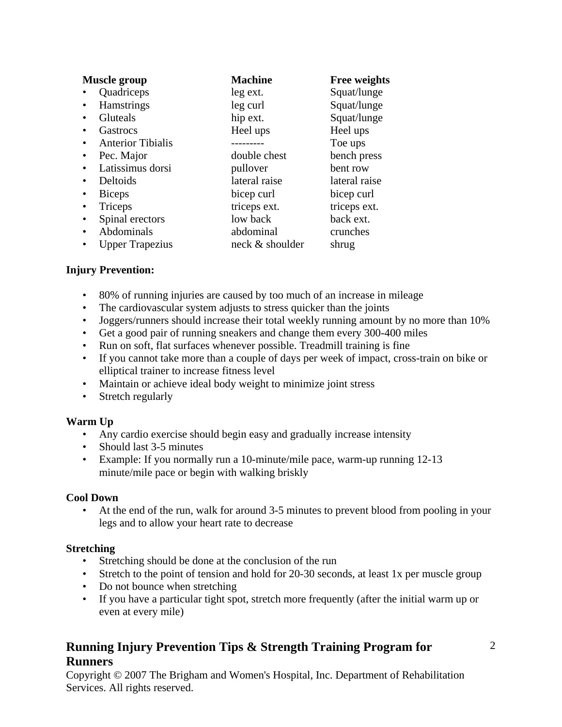| <b>Muscle group</b>           | <b>Machine</b>  | <b>Free weights</b> |
|-------------------------------|-----------------|---------------------|
| Quadriceps                    | leg ext.        | Squat/lunge         |
| <b>Hamstrings</b>             | leg curl        | Squat/lunge         |
| Gluteals                      | hip ext.        | Squat/lunge         |
| Gastrocs                      | Heel ups        | Heel ups            |
| <b>Anterior Tibialis</b><br>٠ |                 | Toe ups             |
| Pec. Major                    | double chest    | bench press         |
| Latissimus dorsi              | pullover        | bent row            |
| Deltoids<br>٠                 | lateral raise   | lateral raise       |
| <b>Biceps</b>                 | bicep curl      | bicep curl          |
| Triceps                       | triceps ext.    | triceps ext.        |
| Spinal erectors<br>$\bullet$  | low back        | back ext.           |
| Abdominals                    | abdominal       | crunches            |
| <b>Upper Trapezius</b>        | neck & shoulder | shrug               |

## **Injury Prevention:**

- 80% of running injuries are caused by too much of an increase in mileage
- The cardiovascular system adjusts to stress quicker than the joints
- Joggers/runners should increase their total weekly running amount by no more than 10%
- Get a good pair of running sneakers and change them every 300-400 miles
- Run on soft, flat surfaces whenever possible. Treadmill training is fine
- If you cannot take more than a couple of days per week of impact, cross-train on bike or elliptical trainer to increase fitness level
- Maintain or achieve ideal body weight to minimize joint stress
- Stretch regularly

#### **Warm Up**

- Any cardio exercise should begin easy and gradually increase intensity
- Should last 3-5 minutes
- Example: If you normally run a 10-minute/mile pace, warm-up running 12-13 minute/mile pace or begin with walking briskly

#### **Cool Down**

• At the end of the run, walk for around 3-5 minutes to prevent blood from pooling in your legs and to allow your heart rate to decrease

#### **Stretching**

- Stretching should be done at the conclusion of the run
- Stretch to the point of tension and hold for 20-30 seconds, at least 1x per muscle group
- Do not bounce when stretching
- If you have a particular tight spot, stretch more frequently (after the initial warm up or even at every mile)

# **Running Injury Prevention Tips & Strength Training Program for Runners**

Copyright © 2007 The Brigham and Women's Hospital, Inc. Department of Rehabilitation Services. All rights reserved.